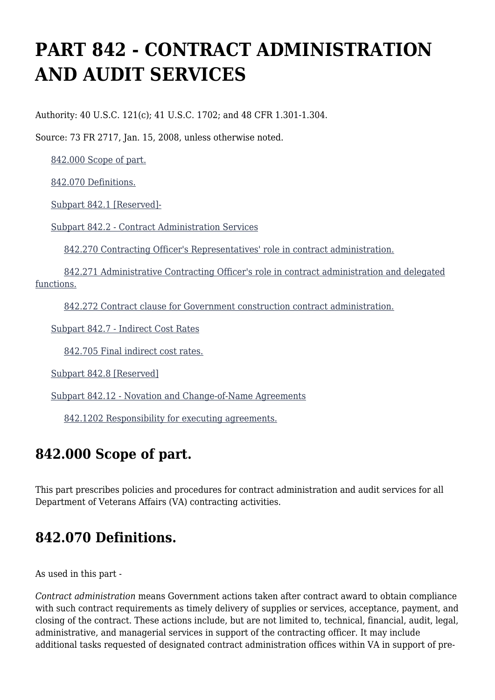# **PART 842 - CONTRACT ADMINISTRATION AND AUDIT SERVICES**

Authority: 40 U.S.C. 121(c); 41 U.S.C. 1702; and 48 CFR 1.301-1.304.

Source: 73 FR 2717, Jan. 15, 2008, unless otherwise noted.

[842.000 Scope of part.](https://www.acquisition.gov/%5Brp:link:vaar-part-842%5D#Section_842_000_T48_5021535011)

[842.070 Definitions.](https://www.acquisition.gov/%5Brp:link:vaar-part-842%5D#Section_842_070_T48_5021535012)

[Subpart 842.1 \[Reserved\]-](https://www.acquisition.gov/%5Brp:link:vaar-part-842%5D#Subpart_842_1_T48_50215351)

[Subpart 842.2 - Contract Administration Services](https://www.acquisition.gov/%5Brp:link:vaar-part-842%5D#Subpart_842_2_T48_50215352)

[842.270 Contracting Officer's Representatives' role in contract administration.](https://www.acquisition.gov/%5Brp:link:vaar-part-842%5D#Section_842_270_T48_5021535211)

 [842.271 Administrative Contracting Officer's role in contract administration and delegated](https://www.acquisition.gov/%5Brp:link:vaar-part-842%5D#Section_842_271_T48_5021535212) [functions.](https://www.acquisition.gov/%5Brp:link:vaar-part-842%5D#Section_842_271_T48_5021535212)

[842.272 Contract clause for Government construction contract administration.](https://www.acquisition.gov/%5Brp:link:vaar-part-842%5D#Section_842_272_T48_5021535213)

[Subpart 842.7 - Indirect Cost Rates](https://www.acquisition.gov/%5Brp:link:vaar-part-842%5D#Subpart_842_7_T48_50215353)

[842.705 Final indirect cost rates.](https://www.acquisition.gov/%5Brp:link:vaar-part-842%5D#Section_842_705_T48_5021535311)

[Subpart 842.8 \[Reserved\]](https://www.acquisition.gov/%5Brp:link:vaar-part-842%5D#Subpart_842_8_T48_50215354)

[Subpart 842.12 - Novation and Change-of-Name Agreements](https://www.acquisition.gov/%5Brp:link:vaar-part-842%5D#Subpart_842_12_T48_50215355)

[842.1202 Responsibility for executing agreements.](https://www.acquisition.gov/%5Brp:link:vaar-part-842%5D#Section_842_1202_T48_5021535511)

# **842.000 Scope of part.**

This part prescribes policies and procedures for contract administration and audit services for all Department of Veterans Affairs (VA) contracting activities.

# **842.070 Definitions.**

As used in this part -

*Contract administration* means Government actions taken after contract award to obtain compliance with such contract requirements as timely delivery of supplies or services, acceptance, payment, and closing of the contract. These actions include, but are not limited to, technical, financial, audit, legal, administrative, and managerial services in support of the contracting officer. It may include additional tasks requested of designated contract administration offices within VA in support of pre-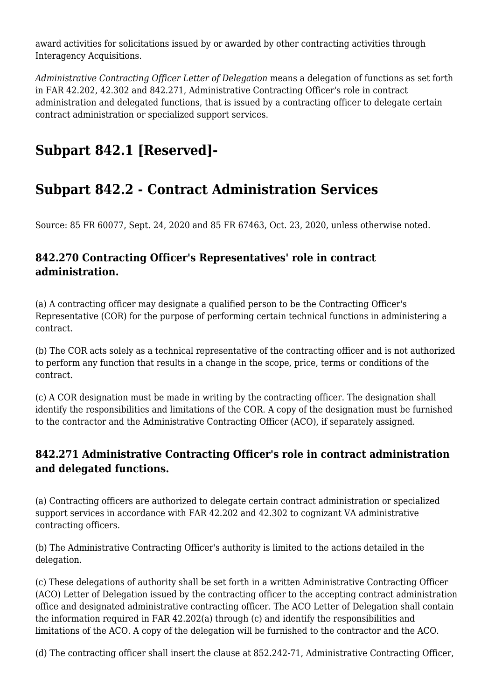award activities for solicitations issued by or awarded by other contracting activities through Interagency Acquisitions.

*Administrative Contracting Officer Letter of Delegation* means a delegation of functions as set forth in FAR 42.202, 42.302 and 842.271, Administrative Contracting Officer's role in contract administration and delegated functions, that is issued by a contracting officer to delegate certain contract administration or specialized support services.

# **Subpart 842.1 [Reserved]-**

# **Subpart 842.2 - Contract Administration Services**

Source: 85 FR 60077, Sept. 24, 2020 and 85 FR 67463, Oct. 23, 2020, unless otherwise noted.

#### **842.270 Contracting Officer's Representatives' role in contract administration.**

(a) A contracting officer may designate a qualified person to be the Contracting Officer's Representative (COR) for the purpose of performing certain technical functions in administering a contract.

(b) The COR acts solely as a technical representative of the contracting officer and is not authorized to perform any function that results in a change in the scope, price, terms or conditions of the contract.

(c) A COR designation must be made in writing by the contracting officer. The designation shall identify the responsibilities and limitations of the COR. A copy of the designation must be furnished to the contractor and the Administrative Contracting Officer (ACO), if separately assigned.

#### **842.271 Administrative Contracting Officer's role in contract administration and delegated functions.**

(a) Contracting officers are authorized to delegate certain contract administration or specialized support services in accordance with FAR 42.202 and 42.302 to cognizant VA administrative contracting officers.

(b) The Administrative Contracting Officer's authority is limited to the actions detailed in the delegation.

(c) These delegations of authority shall be set forth in a written Administrative Contracting Officer (ACO) Letter of Delegation issued by the contracting officer to the accepting contract administration office and designated administrative contracting officer. The ACO Letter of Delegation shall contain the information required in FAR 42.202(a) through (c) and identify the responsibilities and limitations of the ACO. A copy of the delegation will be furnished to the contractor and the ACO.

(d) The contracting officer shall insert the clause at 852.242-71, Administrative Contracting Officer,